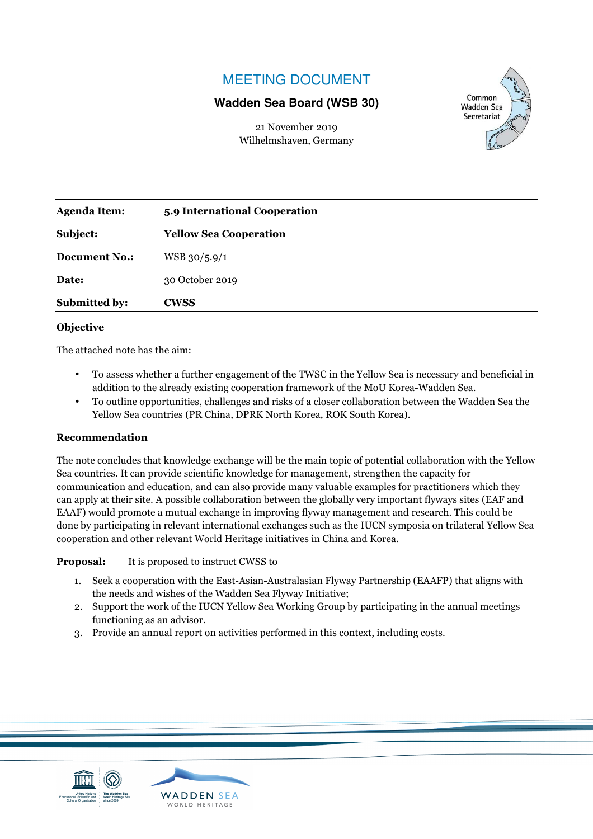# MEETING DOCUMENT

## **Wadden Sea Board (WSB 30)**

21 November 2019 Wilhelmshaven, Germany



| <b>Agenda Item:</b>  | 5.9 International Cooperation |
|----------------------|-------------------------------|
| Subject:             | <b>Yellow Sea Cooperation</b> |
| <b>Document No.:</b> | $WSB$ 30/5.9/1                |
| Date:                | 30 October 2019               |
| <b>Submitted by:</b> | <b>CWSS</b>                   |

### **Objective**

The attached note has the aim:

- To assess whether a further engagement of the TWSC in the Yellow Sea is necessary and beneficial in addition to the already existing cooperation framework of the MoU Korea-Wadden Sea.
- To outline opportunities, challenges and risks of a closer collaboration between the Wadden Sea the Yellow Sea countries (PR China, DPRK North Korea, ROK South Korea).

### **Recommendation**

The note concludes that knowledge exchange will be the main topic of potential collaboration with the Yellow Sea countries. It can provide scientific knowledge for management, strengthen the capacity for communication and education, and can also provide many valuable examples for practitioners which they can apply at their site. A possible collaboration between the globally very important flyways sites (EAF and EAAF) would promote a mutual exchange in improving flyway management and research. This could be done by participating in relevant international exchanges such as the IUCN symposia on trilateral Yellow Sea cooperation and other relevant World Heritage initiatives in China and Korea.

**Proposal:** It is proposed to instruct CWSS to

- 1. Seek a cooperation with the East-Asian-Australasian Flyway Partnership (EAAFP) that aligns with the needs and wishes of the Wadden Sea Flyway Initiative;
- 2. Support the work of the IUCN Yellow Sea Working Group by participating in the annual meetings functioning as an advisor.
- 3. Provide an annual report on activities performed in this context, including costs.



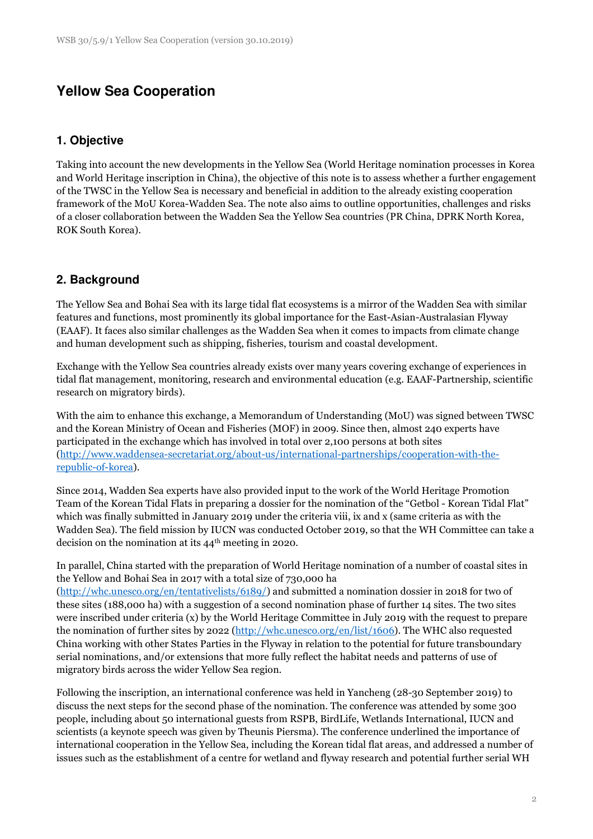# **Yellow Sea Cooperation**

### **1. Objective**

Taking into account the new developments in the Yellow Sea (World Heritage nomination processes in Korea and World Heritage inscription in China), the objective of this note is to assess whether a further engagement of the TWSC in the Yellow Sea is necessary and beneficial in addition to the already existing cooperation framework of the MoU Korea-Wadden Sea. The note also aims to outline opportunities, challenges and risks of a closer collaboration between the Wadden Sea the Yellow Sea countries (PR China, DPRK North Korea, ROK South Korea).

## **2. Background**

The Yellow Sea and Bohai Sea with its large tidal flat ecosystems is a mirror of the Wadden Sea with similar features and functions, most prominently its global importance for the East-Asian-Australasian Flyway (EAAF). It faces also similar challenges as the Wadden Sea when it comes to impacts from climate change and human development such as shipping, fisheries, tourism and coastal development.

Exchange with the Yellow Sea countries already exists over many years covering exchange of experiences in tidal flat management, monitoring, research and environmental education (e.g. EAAF-Partnership, scientific research on migratory birds).

With the aim to enhance this exchange, a Memorandum of Understanding (MoU) was signed between TWSC and the Korean Ministry of Ocean and Fisheries (MOF) in 2009. Since then, almost 240 experts have participated in the exchange which has involved in total over 2,100 persons at both sites (http://www.waddensea-secretariat.org/about-us/international-partnerships/cooperation-with-therepublic-of-korea).

Since 2014, Wadden Sea experts have also provided input to the work of the World Heritage Promotion Team of the Korean Tidal Flats in preparing a dossier for the nomination of the "Getbol - Korean Tidal Flat" which was finally submitted in January 2019 under the criteria viii, ix and x (same criteria as with the Wadden Sea). The field mission by IUCN was conducted October 2019, so that the WH Committee can take a decision on the nomination at its 44th meeting in 2020.

In parallel, China started with the preparation of World Heritage nomination of a number of coastal sites in the Yellow and Bohai Sea in 2017 with a total size of 730,000 ha (http://whc.unesco.org/en/tentativelists/6189/) and submitted a nomination dossier in 2018 for two of these sites (188,000 ha) with a suggestion of a second nomination phase of further 14 sites. The two sites were inscribed under criteria (x) by the World Heritage Committee in July 2019 with the request to prepare the nomination of further sites by 2022 (http://whc.unesco.org/en/list/1606). The WHC also requested China working with other States Parties in the Flyway in relation to the potential for future transboundary serial nominations, and/or extensions that more fully reflect the habitat needs and patterns of use of migratory birds across the wider Yellow Sea region.

Following the inscription, an international conference was held in Yancheng (28-30 September 2019) to discuss the next steps for the second phase of the nomination. The conference was attended by some 300 people, including about 50 international guests from RSPB, BirdLife, Wetlands International, IUCN and scientists (a keynote speech was given by Theunis Piersma). The conference underlined the importance of international cooperation in the Yellow Sea, including the Korean tidal flat areas, and addressed a number of issues such as the establishment of a centre for wetland and flyway research and potential further serial WH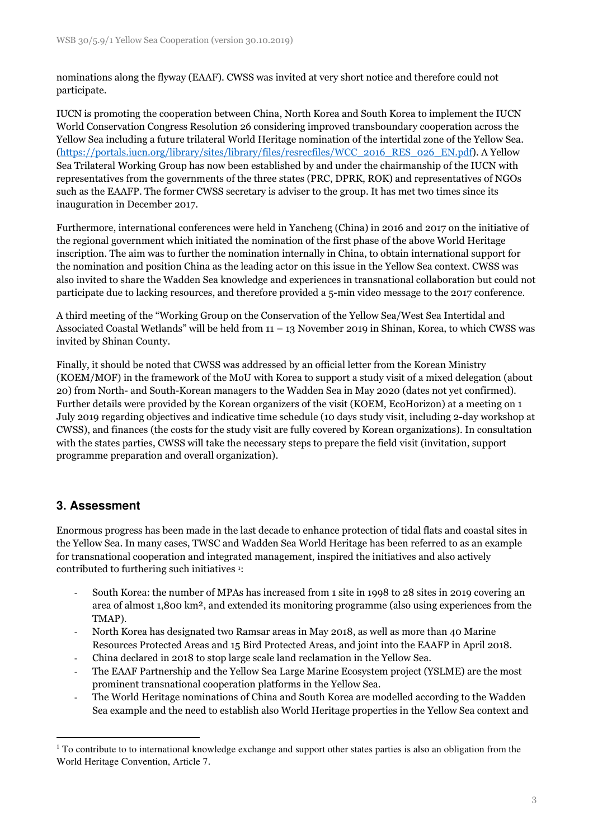nominations along the flyway (EAAF). CWSS was invited at very short notice and therefore could not participate.

IUCN is promoting the cooperation between China, North Korea and South Korea to implement the IUCN World Conservation Congress Resolution 26 considering improved transboundary cooperation across the Yellow Sea including a future trilateral World Heritage nomination of the intertidal zone of the Yellow Sea. (https://portals.iucn.org/library/sites/library/files/resrecfiles/WCC\_2016\_RES\_026\_EN.pdf). A Yellow Sea Trilateral Working Group has now been established by and under the chairmanship of the IUCN with representatives from the governments of the three states (PRC, DPRK, ROK) and representatives of NGOs such as the EAAFP. The former CWSS secretary is adviser to the group. It has met two times since its inauguration in December 2017.

Furthermore, international conferences were held in Yancheng (China) in 2016 and 2017 on the initiative of the regional government which initiated the nomination of the first phase of the above World Heritage inscription. The aim was to further the nomination internally in China, to obtain international support for the nomination and position China as the leading actor on this issue in the Yellow Sea context. CWSS was also invited to share the Wadden Sea knowledge and experiences in transnational collaboration but could not participate due to lacking resources, and therefore provided a 5-min video message to the 2017 conference.

A third meeting of the "Working Group on the Conservation of the Yellow Sea/West Sea Intertidal and Associated Coastal Wetlands" will be held from 11 – 13 November 2019 in Shinan, Korea, to which CWSS was invited by Shinan County.

Finally, it should be noted that CWSS was addressed by an official letter from the Korean Ministry (KOEM/MOF) in the framework of the MoU with Korea to support a study visit of a mixed delegation (about 20) from North- and South-Korean managers to the Wadden Sea in May 2020 (dates not yet confirmed). Further details were provided by the Korean organizers of the visit (KOEM, EcoHorizon) at a meeting on 1 July 2019 regarding objectives and indicative time schedule (10 days study visit, including 2-day workshop at CWSS), and finances (the costs for the study visit are fully covered by Korean organizations). In consultation with the states parties, CWSS will take the necessary steps to prepare the field visit (invitation, support programme preparation and overall organization).

## **3. Assessment**

Enormous progress has been made in the last decade to enhance protection of tidal flats and coastal sites in the Yellow Sea. In many cases, TWSC and Wadden Sea World Heritage has been referred to as an example for transnational cooperation and integrated management, inspired the initiatives and also actively contributed to furthering such initiatives <sup>1</sup> :

- South Korea: the number of MPAs has increased from 1 site in 1998 to 28 sites in 2019 covering an area of almost 1,800 km², and extended its monitoring programme (also using experiences from the TMAP).
- North Korea has designated two Ramsar areas in May 2018, as well as more than 40 Marine Resources Protected Areas and 15 Bird Protected Areas, and joint into the EAAFP in April 2018.
- China declared in 2018 to stop large scale land reclamation in the Yellow Sea.
- The EAAF Partnership and the Yellow Sea Large Marine Ecosystem project (YSLME) are the most prominent transnational cooperation platforms in the Yellow Sea.
- The World Heritage nominations of China and South Korea are modelled according to the Wadden Sea example and the need to establish also World Heritage properties in the Yellow Sea context and

<sup>&</sup>lt;sup>1</sup> To contribute to to international knowledge exchange and support other states parties is also an obligation from the World Heritage Convention, Article 7.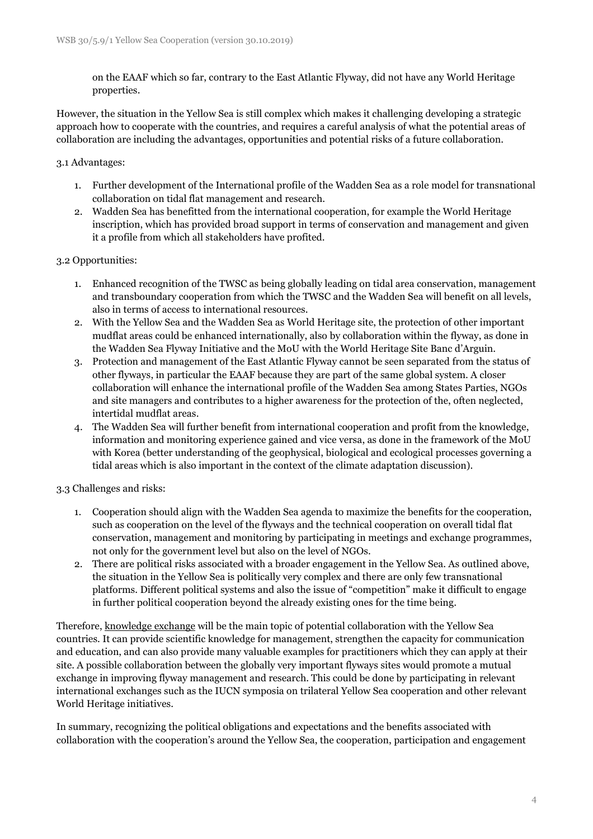on the EAAF which so far, contrary to the East Atlantic Flyway, did not have any World Heritage properties.

However, the situation in the Yellow Sea is still complex which makes it challenging developing a strategic approach how to cooperate with the countries, and requires a careful analysis of what the potential areas of collaboration are including the advantages, opportunities and potential risks of a future collaboration.

#### 3.1 Advantages:

- 1. Further development of the International profile of the Wadden Sea as a role model for transnational collaboration on tidal flat management and research.
- 2. Wadden Sea has benefitted from the international cooperation, for example the World Heritage inscription, which has provided broad support in terms of conservation and management and given it a profile from which all stakeholders have profited.

#### 3.2 Opportunities:

- 1. Enhanced recognition of the TWSC as being globally leading on tidal area conservation, management and transboundary cooperation from which the TWSC and the Wadden Sea will benefit on all levels, also in terms of access to international resources.
- 2. With the Yellow Sea and the Wadden Sea as World Heritage site, the protection of other important mudflat areas could be enhanced internationally, also by collaboration within the flyway, as done in the Wadden Sea Flyway Initiative and the MoU with the World Heritage Site Banc d'Arguin.
- 3. Protection and management of the East Atlantic Flyway cannot be seen separated from the status of other flyways, in particular the EAAF because they are part of the same global system. A closer collaboration will enhance the international profile of the Wadden Sea among States Parties, NGOs and site managers and contributes to a higher awareness for the protection of the, often neglected, intertidal mudflat areas.
- 4. The Wadden Sea will further benefit from international cooperation and profit from the knowledge, information and monitoring experience gained and vice versa, as done in the framework of the MoU with Korea (better understanding of the geophysical, biological and ecological processes governing a tidal areas which is also important in the context of the climate adaptation discussion).

3.3 Challenges and risks:

- 1. Cooperation should align with the Wadden Sea agenda to maximize the benefits for the cooperation, such as cooperation on the level of the flyways and the technical cooperation on overall tidal flat conservation, management and monitoring by participating in meetings and exchange programmes, not only for the government level but also on the level of NGOs.
- 2. There are political risks associated with a broader engagement in the Yellow Sea. As outlined above, the situation in the Yellow Sea is politically very complex and there are only few transnational platforms. Different political systems and also the issue of "competition" make it difficult to engage in further political cooperation beyond the already existing ones for the time being.

Therefore, knowledge exchange will be the main topic of potential collaboration with the Yellow Sea countries. It can provide scientific knowledge for management, strengthen the capacity for communication and education, and can also provide many valuable examples for practitioners which they can apply at their site. A possible collaboration between the globally very important flyways sites would promote a mutual exchange in improving flyway management and research. This could be done by participating in relevant international exchanges such as the IUCN symposia on trilateral Yellow Sea cooperation and other relevant World Heritage initiatives.

In summary, recognizing the political obligations and expectations and the benefits associated with collaboration with the cooperation's around the Yellow Sea, the cooperation, participation and engagement